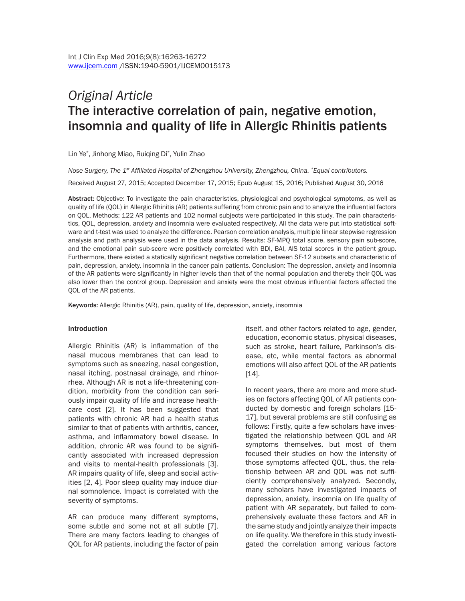# *Original Article*  The interactive correlation of pain, negative emotion, insomnia and quality of life in Allergic Rhinitis patients

Lin Ye\* , Jinhong Miao, Ruiqing Di\* , Yulin Zhao

*Nose Surgery, The 1st Affiliated Hospital of Zhengzhou University, Zhengzhou, China. \*Equal contributors.* Received August 27, 2015; Accepted December 17, 2015; Epub August 15, 2016; Published August 30, 2016

Abstract: Objective: To investigate the pain characteristics, physiological and psychological symptoms, as well as quality of life (QOL) in Allergic Rhinitis (AR) patients suffering from chronic pain and to analyze the influential factors on QOL. Methods: 122 AR patients and 102 normal subjects were participated in this study. The pain characteristics, QOL, depression, anxiety and insomnia were evaluated respectively. All the data were put into statistical software and t-test was used to analyze the difference. Pearson correlation analysis, multiple linear stepwise regression analysis and path analysis were used in the data analysis. Results: SF-MPQ total score, sensory pain sub-score, and the emotional pain sub-score were positively correlated with BDI, BAI, AIS total scores in the patient group. Furthermore, there existed a statically significant negative correlation between SF-12 subsets and characteristic of pain, depression, anxiety, insomnia in the cancer pain patients. Conclusion: The depression, anxiety and insomnia of the AR patients were significantly in higher levels than that of the normal population and thereby their QOL was also lower than the control group. Depression and anxiety were the most obvious influential factors affected the QOL of the AR patients.

Keywords: Allergic Rhinitis (AR), pain, quality of life, depression, anxiety, insomnia

#### Introduction

Allergic Rhinitis (AR) is inflammation of the nasal mucous membranes that can lead to symptoms such as sneezing, nasal congestion, nasal itching, postnasal drainage, and rhinorrhea. Although AR is not a life-threatening condition, morbidity from the condition can seriously impair quality of life and increase healthcare cost [2]. It has been suggested that patients with chronic AR had a health status similar to that of patients with arthritis, cancer, asthma, and inflammatory bowel disease. In addition, chronic AR was found to be significantly associated with increased depression and visits to mental-health professionals [3]. AR impairs quality of life, sleep and social activities [2, 4]. Poor sleep quality may induce diurnal somnolence. Impact is correlated with the severity of symptoms.

AR can produce many different symptoms, some subtle and some not at all subtle [7]. There are many factors leading to changes of QOL for AR patients, including the factor of pain itself, and other factors related to age, gender, education, economic status, physical diseases, such as stroke, heart failure, Parkinson's disease, etc, while mental factors as abnormal emotions will also affect QOL of the AR patients [14].

In recent years, there are more and more studies on factors affecting QOL of AR patients conducted by domestic and foreign scholars [15- 17], but several problems are still confusing as follows: Firstly, quite a few scholars have investigated the relationship between QOL and AR symptoms themselves, but most of them focused their studies on how the intensity of those symptoms affected QOL, thus, the relationship between AR and QOL was not sufficiently comprehensively analyzed. Secondly, many scholars have investigated impacts of depression, anxiety, insomnia on life quality of patient with AR separately, but failed to comprehensively evaluate these factors and AR in the same study and jointly analyze their impacts on life quality. We therefore in this study investigated the correlation among various factors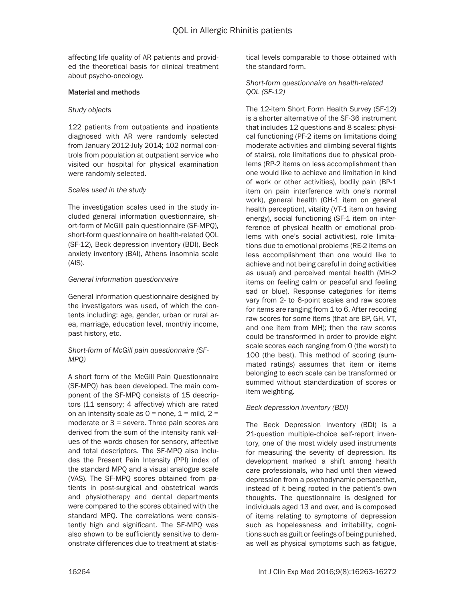affecting life quality of AR patients and provided the theoretical basis for clinical treatment about psycho-oncology.

## Material and methods

#### *Study objects*

122 patients from outpatients and inpatients diagnosed with AR were randomly selected from January 2012-July 2014; 102 normal controls from population at outpatient service who visited our hospital for physical examination were randomly selected.

## *Scales used in the study*

The investigation scales used in the study included general information questionnaire, short-form of McGill pain questionnaire (SF-MPQ), short-form questionnaire on health-related QOL (SF-12), Beck depression inventory (BDI), Beck anxiety inventory (BAI), Athens insomnia scale (AIS).

#### *General information questionnaire*

General information questionnaire designed by the investigators was used, of which the contents including: age, gender, urban or rural area, marriage, education level, monthly income, past history, etc.

## *Short-form of McGill pain questionnaire (SF-MPQ)*

A short form of the McGill Pain Questionnaire (SF-MPQ) has been developed. The main component of the SF-MPQ consists of 15 descriptors (11 sensory; 4 affective) which are rated on an intensity scale as  $0 =$  none,  $1 =$  mild,  $2 =$ moderate or 3 = severe. Three pain scores are derived from the sum of the intensity rank values of the words chosen for sensory, affective and total descriptors. The SF-MPQ also includes the Present Pain Intensity (PPI) index of the standard MPQ and a visual analogue scale (VAS). The SF-MPQ scores obtained from patients in post-surgical and obstetrical wards and physiotherapy and dental departments were compared to the scores obtained with the standard MPQ. The correlations were consistently high and significant. The SF-MPQ was also shown to be sufficiently sensitive to demonstrate differences due to treatment at statistical levels comparable to those obtained with the standard form.

# *Short-form questionnaire on health-related QOL (SF-12)*

The 12-item Short Form Health Survey (SF-12) is a shorter alternative of the SF-36 instrument that includes 12 questions and 8 scales: physical functioning (PF-2 items on limitations doing moderate activities and climbing several flights of stairs), role limitations due to physical problems (RP-2 items on less accomplishment than one would like to achieve and limitation in kind of work or other activities), bodily pain (BP-1 item on pain interference with one's normal work), general health (GH-1 item on general health perception), vitality (VT-1 item on having energy), social functioning (SF-1 item on interference of physical health or emotional problems with one's social activities), role limitations due to emotional problems (RE-2 items on less accomplishment than one would like to achieve and not being careful in doing activities as usual) and perceived mental health (MH-2 items on feeling calm or peaceful and feeling sad or blue). Response categories for items vary from 2- to 6-point scales and raw scores for items are ranging from 1 to 6. After recoding raw scores for some items (that are BP, GH, VT, and one item from MH); then the raw scores could be transformed in order to provide eight scale scores each ranging from 0 (the worst) to 100 (the best). This method of scoring (summated ratings) assumes that item or items belonging to each scale can be transformed or summed without standardization of scores or item weighting.

## *Beck depression inventory (BDI)*

The Beck Depression Inventory (BDI) is a 21-question multiple-choice self-report inventory, one of the most widely used instruments for measuring the severity of depression. Its development marked a shift among health care professionals, who had until then viewed depression from a psychodynamic perspective, instead of it being rooted in the patient's own thoughts. The questionnaire is designed for individuals aged 13 and over, and is composed of items relating to symptoms of depression such as hopelessness and irritability, cognitions such as guilt or feelings of being punished, as well as physical symptoms such as fatigue,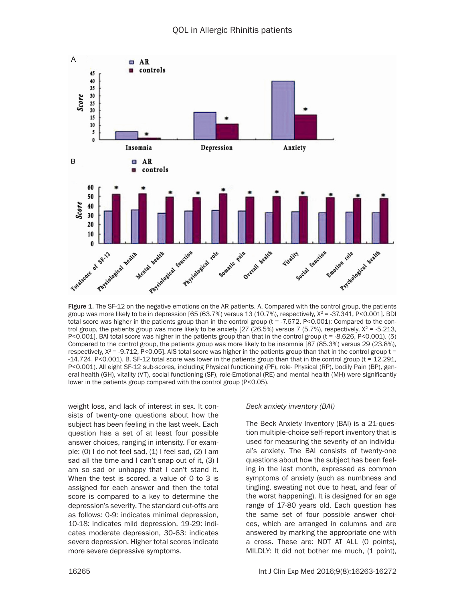

group was more likely to be in depression [65 (63.7%) versus 13 (10.7%), respectively,  $X^2 = -37.341$ , P<0.001]. BDI total score was higher in the patients group than in the control group (t = -7.672, P<0.001); Compared to the control group, the patients group was more likely to be anxiety [27 (26.5%) versus 7 (5.7%), respectively,  $X^2 = -5.213$ , P<0.001]. BAI total score was higher in the patients group than that in the control group (t = -8.626, P<0.001). (5) Compared to the control group, the patients group was more likely to be insomnia [87 (85.3%) versus 29 (23.8%), respectively,  $X^2 = -9.712$ , P<0.05]. AIS total score was higher in the patients group than that in the control group t = -14.724, P<0.001). B. SF-12 total score was lower in the patients group than that in the control group (t = 12.291, P<0.001). All eight SF-12 sub-scores, including Physical functioning (PF), role- Physical (RP), bodily Pain (BP), general health (GH), vitality (VT), social functioning (SF), role-Emotional (RE) and mental health (MH) were significantly lower in the patients group compared with the control group (P<0.05).

weight loss, and lack of interest in sex. It consists of twenty-one questions about how the subject has been feeling in the last week. Each question has a set of at least four possible answer choices, ranging in intensity. For example:  $(0)$  I do not feel sad,  $(1)$  I feel sad,  $(2)$  I am sad all the time and I can't snap out of it, (3) I am so sad or unhappy that I can't stand it. When the test is scored, a value of 0 to 3 is assigned for each answer and then the total score is compared to a key to determine the depression's severity. The standard cut-offs are as follows: 0-9: indicates minimal depression, 10-18: indicates mild depression, 19-29: indicates moderate depression, 30-63: indicates severe depression. Higher total scores indicate more severe depressive symptoms.

#### *Beck anxiety inventory (BAI)*

The Beck Anxiety Inventory (BAI) is a 21-question multiple-choice self-report inventory that is used for measuring the severity of an individual's anxiety. The BAI consists of twenty-one questions about how the subject has been feeling in the last month, expressed as common symptoms of anxiety (such as numbness and tingling, sweating not due to heat, and fear of the worst happening). It is designed for an age range of 17-80 years old. Each question has the same set of four possible answer choices, which are arranged in columns and are answered by marking the appropriate one with a cross. These are: NOT AT ALL (0 points), MILDLY: It did not bother me much, (1 point),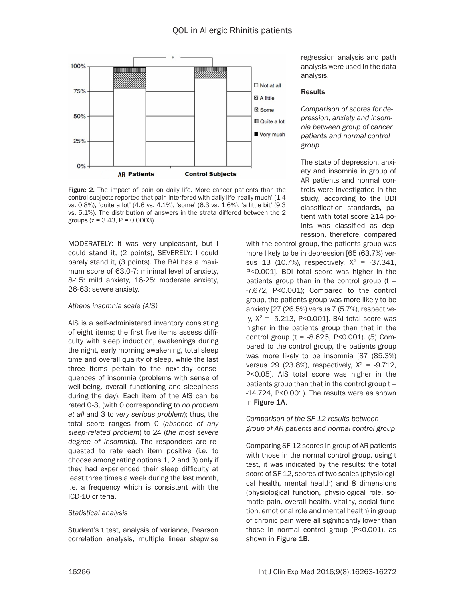

Figure 2. The impact of pain on daily life. More cancer patients than the control subjects reported that pain interfered with daily life 'really much' (1.4 vs. 0.8%), 'quite a lot' (4.6 vs. 4.1%), 'some' (6.3 vs. 1.6%), 'a little bit' (9.3 vs. 5.1%). The distribution of answers in the strata differed between the 2 groups ( $z = 3.43$ ,  $P = 0.0003$ ).

MODERATELY: It was very unpleasant, but I could stand it, (2 points), SEVERELY: I could barely stand it, (3 points). The BAI has a maximum score of 63.0-7: minimal level of anxiety, 8-15: mild anxiety, 16-25: moderate anxiety, 26-63: severe anxiety.

## *Athens insomnia scale (AIS)*

AIS is a self-administered inventory consisting of eight items; the first five items assess difficulty with sleep induction, awakenings during the night, early morning awakening, total sleep time and overall quality of sleep, while the last three items pertain to the next-day consequences of insomnia (problems with sense of well-being, overall functioning and sleepiness during the day). Each item of the AIS can be rated 0-3, (with 0 corresponding to *no problem at all* and 3 to *very serious problem*); thus, the total score ranges from 0 (*absence of any sleep-related problem*) to 24 (*the most severe degree of insomnia*). The responders are requested to rate each item positive (i.e. to choose among rating options 1, 2 and 3) only if they had experienced their sleep difficulty at least three times a week during the last month, i.e. a frequency which is consistent with the ICD-10 criteria.

## *Statistical analysis*

Student's t test, analysis of variance, Pearson correlation analysis, multiple linear stepwise

regression analysis and path analysis were used in the data analysis.

#### **Results**

*Comparison of scores for depression, anxiety and insomnia between group of cancer patients and normal control group*

The state of depression, anxiety and insomnia in group of AR patients and normal controls were investigated in the study, according to the BDI classification standards, patient with total score ≥14 points was classified as depression, therefore, compared

with the control group, the patients group was more likely to be in depression [65 (63.7%) versus 13 (10.7%), respectively,  $X^2 = -37.341$ , P<0.001]. BDI total score was higher in the patients group than in the control group  $(t =$ -7.672, P<0.001); Compared to the control group, the patients group was more likely to be anxiety [27 (26.5%) versus 7 (5.7%), respectively,  $X^2 = -5.213$ , P<0.001]. BAI total score was higher in the patients group than that in the control group (t = -8.626, P<0.001). (5) Compared to the control group, the patients group was more likely to be insomnia [87 (85.3%) versus 29 (23.8%), respectively,  $X^2 = -9.712$ , P<0.05]. AIS total score was higher in the patients group than that in the control group  $t =$ -14.724, P<0.001). The results were as shown in Figure 1A.

## *Comparison of the SF-12 results between group of AR patients and normal control group*

Comparing SF-12 scores in group of AR patients with those in the normal control group, using t test, it was indicated by the results: the total score of SF-12, scores of two scales (physiological health, mental health) and 8 dimensions (physiological function, physiological role, somatic pain, overall health, vitality, social function, emotional role and mental health) in group of chronic pain were all significantly lower than those in normal control group (P<0.001), as shown in Figure 1B.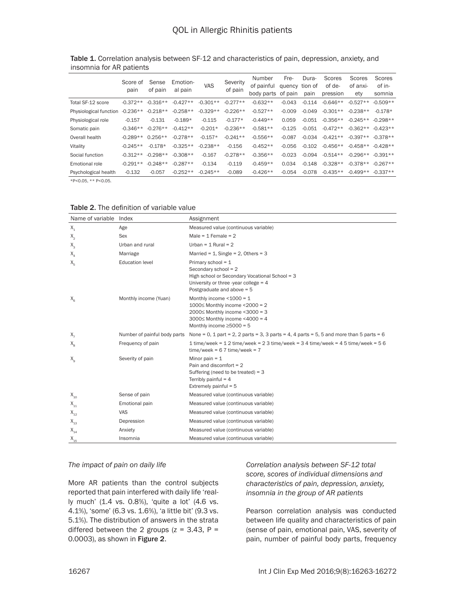|                        | Score of<br>pain | Sense<br>of pain | Emotion-<br>al pain | VAS        | Severity<br>of pain | Number<br>of painful<br>body parts | Fre-<br>quency<br>of pain | Dura-<br>tion of<br>pain | Scores<br>of de-<br>pression | Scores<br>of anxi-<br>ety | Scores<br>of in-<br>somnia |
|------------------------|------------------|------------------|---------------------|------------|---------------------|------------------------------------|---------------------------|--------------------------|------------------------------|---------------------------|----------------------------|
| Total SF-12 score      | $-0.372**$       | $-0.316**$       | $-0.427**$          | $-0.301**$ | $-0.277**$          | $-0.632**$                         | $-0.043$                  | $-0.114$                 | $-0.646**$                   | $-0.527**$                | $-0.509**$                 |
| Physiological function | $-0.236**$       | $-0.218**$       | $-0.258**$          | $-0.329**$ | $-0.226**$          | $-0.527**$                         | $-0.009$                  | $-0.049$                 | $-0.301**$                   | $-0.238**$                | $-0.178*$                  |
| Physiological role     | $-0.157$         | $-0.131$         | $-0.189*$           | $-0.115$   | $-0.177*$           | $-0.449**$                         | 0.059                     | $-0.051$                 | $-0.356**$                   | $-0.245**$                | $-0.298**$                 |
| Somatic pain           | $-0.346**$       | $-0.276**$       | $-0.412**$          | $-0.201*$  | $-0.236**$          | $-0.581**$                         | $-0.125$                  | $-0.051$                 | $-0.472**$                   | $-0.362**$                | $-0.423**$                 |
| Overall health         | $-0.289**$       | $0.256**$        | $-0.278**$          | $-0.157*$  | $-0.241**$          | $-0.556**$                         | $-0.087$                  | $-0.034$                 | $-0.421**$                   | $-0.397**$                | $-0.378**$                 |
| Vitality               | $-0.245**$       | $-0.178*$        | $-0.325**$          | $-0.238**$ | $-0.156$            | $-0.452**$                         | $-0.056$                  | $-0.102$                 | $-0.456**$                   | $-0.458**$                | $-0.428**$                 |
| Social function        | $-0.312**$       | $-0.298**$       | $-0.308**$          | $-0.167$   | $-0.278**$          | $-0.356**$                         | $-0.023$                  | $-0.094$                 | $-0.514**$                   | $-0.296**$                | $-0.391**$                 |
| Emotional role         | $-0.291**$       | $-0.248**$       | $-0.287**$          | $-0.134$   | $-0.119$            | $-0.459**$                         | 0.034                     | $-0.148$                 | $-0.328**$                   | $-0.378**$                | $-0.267**$                 |
| Psychological health   | $-0.132$         | $-0.057$         | $-0.252**$          | $-0.245**$ | $-0.089$            | $-0.426**$                         | $-0.054$                  | $-0.078$                 | $-0.435**$                   | $-0.499**$                | $-0.337**$                 |

Table 1. Correlation analysis between SF-12 and characteristics of pain, depression, anxiety, and insomnia for AR patients

\*P<0.05, \*\* P<0.05.

| Name of variable Index     |                              | Assignment                                                                                                                                                                         |
|----------------------------|------------------------------|------------------------------------------------------------------------------------------------------------------------------------------------------------------------------------|
| $X_1$                      | Age                          | Measured value (continuous variable)                                                                                                                                               |
| $X_{2}$                    | Sex                          | Male = $1$ Female = $2$                                                                                                                                                            |
| $X_{3}$                    | Urban and rural              | Urban = $1$ Rural = $2$                                                                                                                                                            |
| $X_4$                      | Marriage                     | Married = $1$ , Single = $2$ , Others = $3$                                                                                                                                        |
| $X_{\overline{n}}$         | <b>Education level</b>       | Primary school = $1$<br>Secondary school = 2<br>High school or Secondary Vocational School = 3<br>University or three -year college = $4$<br>Postgraduate and above $= 5$          |
| $X_{6}$                    | Monthly income (Yuan)        | Monthly income $\leq 1000 = 1$<br>1000 $\leq$ Monthly income <2000 = 2<br>2000≤ Monthly income <3000 = 3<br>3000 $\leq$ Monthly income <4000 = 4<br>Monthly income $\geq$ 5000 = 5 |
| $X_{7}$                    | Number of painful body parts | None = 0, 1 part = 2, 2 parts = 3, 3 parts = 4, 4 parts = 5, 5 and more than 5 parts = 6                                                                                           |
| $X_{\rm g}$                | Frequency of pain            | $1$ time/week = $12$ time/week = $23$ time/week = $34$ time/week = $45$ time/week = $56$<br>$time/week = 67$ time/week = 7                                                         |
| $X_{\alpha}$               | Severity of pain             | Minor pain $= 1$<br>Pain and discomfort $= 2$<br>Suffering (need to be treated) = $3$<br>Terribly painful = $4$<br>Extremely painful = $5$                                         |
| $X_{10}$                   | Sense of pain                | Measured value (continuous variable)                                                                                                                                               |
| $\mathsf{X}_{_{11}}$       | Emotional pain               | Measured value (continuous variable)                                                                                                                                               |
| $\mathsf{X}_{\mathsf{12}}$ | <b>VAS</b>                   | Measured value (continuous variable)                                                                                                                                               |
| $\mathsf{X}_{\mathsf{13}}$ | Depression                   | Measured value (continuous variable)                                                                                                                                               |
| $\mathsf{X}_{_{14}}$       | Anxiety                      | Measured value (continuous variable)                                                                                                                                               |
| $X_{15}$                   | Insomnia                     | Measured value (continuous variable)                                                                                                                                               |

Table 2. The definition of variable value

#### *The impact of pain on daily life*

More AR patients than the control subjects reported that pain interfered with daily life 'really much' (1.4 vs. 0.8%), 'quite a lot' (4.6 vs. 4.1%), 'some' (6.3 vs. 1.6%), 'a little bit' (9.3 vs. 5.1%). The distribution of answers in the strata differed between the 2 groups  $(z = 3.43, P =$ 0.0003), as shown in Figure 2.

*Correlation analysis between SF-12 total score, scores of individual dimensions and characteristics of pain, depression, anxiety, insomnia in the group of AR patients* 

Pearson correlation analysis was conducted between life quality and characteristics of pain (sense of pain, emotional pain, VAS, severity of pain, number of painful body parts, frequency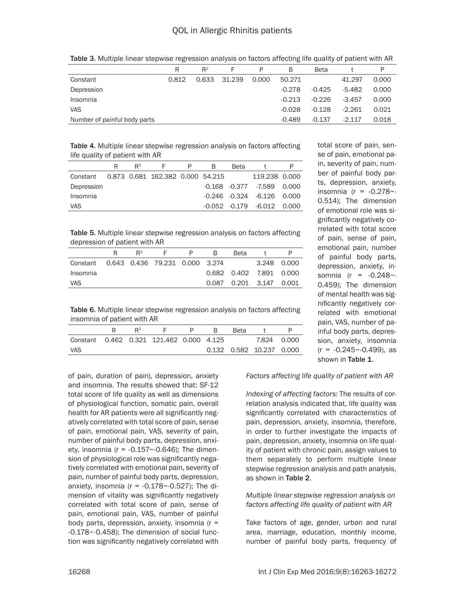|                              | R     | $R^2$ | F      | P     | B        | <b>Beta</b> |          | P     |
|------------------------------|-------|-------|--------|-------|----------|-------------|----------|-------|
| Constant                     | 0.812 | 0.633 | 31.239 | 0.000 | 50.271   |             | 41.297   | 0.000 |
| Depression                   |       |       |        |       | $-0.278$ | $-0.425$    | $-5.482$ | 0.000 |
| Insomnia                     |       |       |        |       | $-0.213$ | $-0.226$    | $-3.457$ | 0.000 |
| <b>VAS</b>                   |       |       |        |       | $-0.028$ | $-0.128$    | $-2.261$ | 0.021 |
| Number of painful body parts |       |       |        |       | $-0.489$ | $-0.137$    | -2 1 1 7 | 0.018 |

Table 3. Multiple linear stepwise regression analysis on factors affecting life quality of patient with AR

Table 4. Multiple linear stepwise regression analysis on factors affecting life quality of patient with AR

|                                           | R | $R^2$ |  | B | <b>Beta</b> |                                  |  |
|-------------------------------------------|---|-------|--|---|-------------|----------------------------------|--|
| Constant 0.873 0.681 162.382 0.000 54.215 |   |       |  |   |             | 119.238 0.000                    |  |
| Depression                                |   |       |  |   |             | $-0.168$ $-0.377$ $-7.589$ 0.000 |  |
| Insomnia                                  |   |       |  |   |             | $-0.246$ $-0.324$ $-6.126$ 0.000 |  |
| <b>VAS</b>                                |   |       |  |   |             | $-0.052$ $-0.179$ $-6.012$ 0.000 |  |

Table 5. Multiple linear stepwise regression analysis on factors affecting depression of patient with AR

|                                         | $\mathsf{R}^2$ | <b>Contract Contract Contract Contract</b> | P. | B. | <b>Beta</b>                |             |  |
|-----------------------------------------|----------------|--------------------------------------------|----|----|----------------------------|-------------|--|
| Constant 0.643 0.436 79.231 0.000 3.274 |                |                                            |    |    |                            | 3.248 0.000 |  |
| Insomnia                                |                |                                            |    |    | 0.682  0.402  7.891  0.000 |             |  |
| VAS                                     |                |                                            |    |    | 0.087  0.201  3.147  0.001 |             |  |

Table 6. Multiple linear stepwise regression analysis on factors affecting insomnia of patient with AR

|                                          | $\mathsf{R}^2$ | P. | в | <b>Reta</b> |                          |  |
|------------------------------------------|----------------|----|---|-------------|--------------------------|--|
| Constant 0.462 0.321 121.462 0.000 4.125 |                |    |   |             | 7.824 0.000              |  |
| VAS                                      |                |    |   |             | 0.132 0.582 10.237 0.000 |  |
|                                          |                |    |   |             |                          |  |

of pain, duration of pain), depression, anxiety and insomnia. The results showed that: SF-12 total score of life quality as well as dimensions of physiological function, somatic pain, overall health for AR patients were all significantly negatively correlated with total score of pain, sense of pain, emotional pain, VAS, severity of pain, number of painful body parts, depression, anxiety, insomnia ( $r = -0.157 - 0.646$ ); The dimension of physiological role was significantly negatively correlated with emotional pain, severity of pain, number of painful body parts, depression, anxiety, insomnia ( $r = -0.178 - 0.527$ ); The dimension of vitality was significantly negatively correlated with total score of pain, sense of pain, emotional pain, VAS, number of painful body parts, depression, anxiety, insomnia  $(r =$ -0.178~-0.458); The dimension of social function was significantly negatively correlated with total score of pain, sense of pain, emotional pain, severity of pain, number of painful body parts, depression, anxiety, insomnia (r = -0.278~- 0.514); The dimension of emotional role was significantly negatively correlated with total score of pain, sense of pain, emotional pain, number of painful body parts, depression, anxiety, insomnia (r = -0.248~- 0.459); The dimension of mental health was significantly negatively correlated with emotional pain, VAS, number of painful body parts, depression, anxiety, insomnia  $(r = -0.245 - 0.499)$ , as shown in Table 1.

*Factors affecting life quality of patient with AR*

*Indexing of affecting factors:* The results of correlation analysis indicated that, life quality was significantly correlated with characteristics of pain, depression, anxiety, insomnia, therefore, in order to further investigate the impacts of pain, depression, anxiety, insomnia on life quality of patient with chronic pain, assign values to them separately to perform multiple linear stepwise regression analysis and path analysis, as shown in Table 2.

# *Multiple linear stepwise regression analysis on factors affecting life quality of patient with AR*

Take factors of age, gender, urban and rural area, marriage, education, monthly income, number of painful body parts, frequency of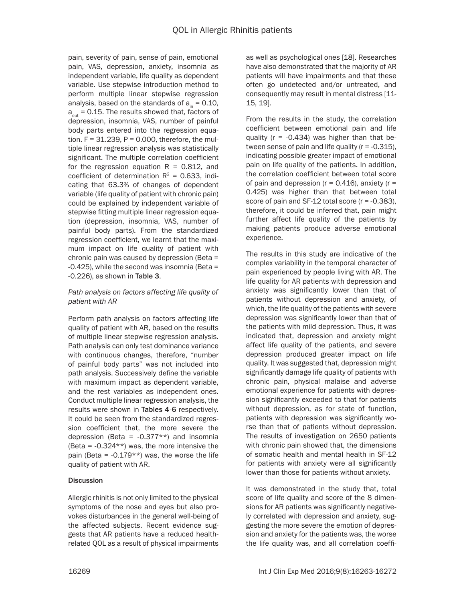pain, severity of pain, sense of pain, emotional pain, VAS, depression, anxiety, insomnia as independent variable, life quality as dependent variable. Use stepwise introduction method to perform multiple linear stepwise regression analysis, based on the standards of  $a_n = 0.10$ ,  $a_{\text{out}}$  = 0.15. The results showed that, factors of depression, insomnia, VAS, number of painful body parts entered into the regression equation.  $F = 31.239$ ,  $P = 0.000$ , therefore, the multiple linear regression analysis was statistically significant. The multiple correlation coefficient for the regression equation  $R = 0.812$ , and coefficient of determination  $R^2$  = 0.633, indicating that 63.3% of changes of dependent variable (life quality of patient with chronic pain) could be explained by independent variable of stepwise fitting multiple linear regression equation (depression, insomnia, VAS, number of painful body parts). From the standardized regression coefficient, we learnt that the maximum impact on life quality of patient with chronic pain was caused by depression (Beta = -0.425), while the second was insomnia (Beta = -0.226), as shown in Table 3.

# *Path analysis on factors affecting life quality of patient with AR*

Perform path analysis on factors affecting life quality of patient with AR, based on the results of multiple linear stepwise regression analysis. Path analysis can only test dominance variance with continuous changes, therefore, "number of painful body parts" was not included into path analysis. Successively define the variable with maximum impact as dependent variable, and the rest variables as independent ones. Conduct multiple linear regression analysis, the results were shown in Tables 4-6 respectively. It could be seen from the standardized regression coefficient that, the more severe the depression (Beta =  $-0.377**$ ) and insomnia (Beta =  $-0.324**$ ) was, the more intensive the pain (Beta =  $-0.179**$ ) was, the worse the life quality of patient with AR.

# **Discussion**

Allergic rhinitis is not only limited to the physical symptoms of the nose and eyes but also provokes disturbances in the general well-being of the affected subjects. Recent evidence suggests that AR patients have a reduced healthrelated QOL as a result of physical impairments as well as psychological ones [18]. Researches have also demonstrated that the majority of AR patients will have impairments and that these often go undetected and/or untreated, and consequently may result in mental distress [11- 15, 19].

From the results in the study, the correlation coefficient between emotional pain and life quality ( $r = -0.434$ ) was higher than that between sense of pain and life quality  $(r = -0.315)$ , indicating possible greater impact of emotional pain on life quality of the patients. In addition, the correlation coefficient between total score of pain and depression ( $r = 0.416$ ), anxiety ( $r =$ 0.425) was higher than that between total score of pain and SF-12 total score (r = -0.383), therefore, it could be inferred that, pain might further affect life quality of the patients by making patients produce adverse emotional experience.

The results in this study are indicative of the complex variability in the temporal character of pain experienced by people living with AR. The life quality for AR patients with depression and anxiety was significantly lower than that of patients without depression and anxiety, of which, the life quality of the patients with severe depression was significantly lower than that of the patients with mild depression. Thus, it was indicated that, depression and anxiety might affect life quality of the patients, and severe depression produced greater impact on life quality. It was suggested that, depression might significantly damage life quality of patients with chronic pain, physical malaise and adverse emotional experience for patients with depression significantly exceeded to that for patients without depression, as for state of function, patients with depression was significantly worse than that of patients without depression. The results of investigation on 2650 patients with chronic pain showed that, the dimensions of somatic health and mental health in SF-12 for patients with anxiety were all significantly lower than those for patients without anxiety.

It was demonstrated in the study that, total score of life quality and score of the 8 dimensions for AR patients was significantly negatively correlated with depression and anxiety, suggesting the more severe the emotion of depression and anxiety for the patients was, the worse the life quality was, and all correlation coeffi-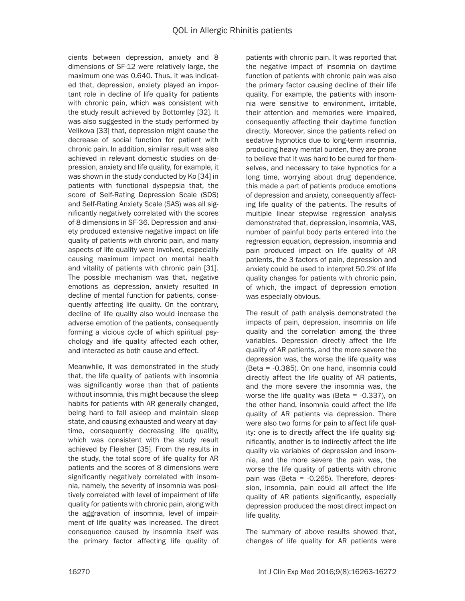cients between depression, anxiety and 8 dimensions of SF-12 were relatively large, the maximum one was 0.640. Thus, it was indicated that, depression, anxiety played an important role in decline of life quality for patients with chronic pain, which was consistent with the study result achieved by Bottomley [32]. It was also suggested in the study performed by Velikova [33] that, depression might cause the decrease of social function for patient with chronic pain. In addition, similar result was also achieved in relevant domestic studies on depression, anxiety and life quality, for example, it was shown in the study conducted by Ko [34] in patients with functional dyspepsia that, the score of Self-Rating Depression Scale (SDS) and Self-Rating Anxiety Scale (SAS) was all significantly negatively correlated with the scores of 8 dimensions in SF-36. Depression and anxiety produced extensive negative impact on life quality of patients with chronic pain, and many aspects of life quality were involved, especially causing maximum impact on mental health and vitality of patients with chronic pain [31]. The possible mechanism was that, negative emotions as depression, anxiety resulted in decline of mental function for patients, consequently affecting life quality. On the contrary, decline of life quality also would increase the adverse emotion of the patients, consequently forming a vicious cycle of which spiritual psychology and life quality affected each other, and interacted as both cause and effect.

Meanwhile, it was demonstrated in the study that, the life quality of patients with insomnia was significantly worse than that of patients without insomnia, this might because the sleep habits for patients with AR generally changed, being hard to fall asleep and maintain sleep state, and causing exhausted and weary at daytime, consequently decreasing life quality, which was consistent with the study result achieved by Fleisher [35]. From the results in the study, the total score of life quality for AR patients and the scores of 8 dimensions were significantly negatively correlated with insomnia, namely, the severity of insomnia was positively correlated with level of impairment of life quality for patients with chronic pain, along with the aggravation of insomnia, level of impairment of life quality was increased. The direct consequence caused by insomnia itself was the primary factor affecting life quality of patients with chronic pain. It was reported that the negative impact of insomnia on daytime function of patients with chronic pain was also the primary factor causing decline of their life quality. For example, the patients with insomnia were sensitive to environment, irritable, their attention and memories were impaired, consequently affecting their daytime function directly. Moreover, since the patients relied on sedative hypnotics due to long-term insomnia, producing heavy mental burden, they are prone to believe that it was hard to be cured for themselves, and necessary to take hypnotics for a long time, worrying about drug dependence, this made a part of patients produce emotions of depression and anxiety, consequently affecting life quality of the patients. The results of multiple linear stepwise regression analysis demonstrated that, depression, insomnia, VAS, number of painful body parts entered into the regression equation, depression, insomnia and pain produced impact on life quality of AR patients, the 3 factors of pain, depression and anxiety could be used to interpret 50.2% of life quality changes for patients with chronic pain, of which, the impact of depression emotion was especially obvious.

The result of path analysis demonstrated the impacts of pain, depression, insomnia on life quality and the correlation among the three variables. Depression directly affect the life quality of AR patients, and the more severe the depression was, the worse the life quality was (Beta = -0.385). On one hand, insomnia could directly affect the life quality of AR patients, and the more severe the insomnia was, the worse the life quality was (Beta = -0.337), on the other hand, insomnia could affect the life quality of AR patients via depression. There were also two forms for pain to affect life quality: one is to directly affect the life quality significantly, another is to indirectly affect the life quality via variables of depression and insomnia, and the more severe the pain was, the worse the life quality of patients with chronic pain was (Beta = -0.265). Therefore, depression, insomnia, pain could all affect the life quality of AR patients significantly, especially depression produced the most direct impact on life quality.

The summary of above results showed that, changes of life quality for AR patients were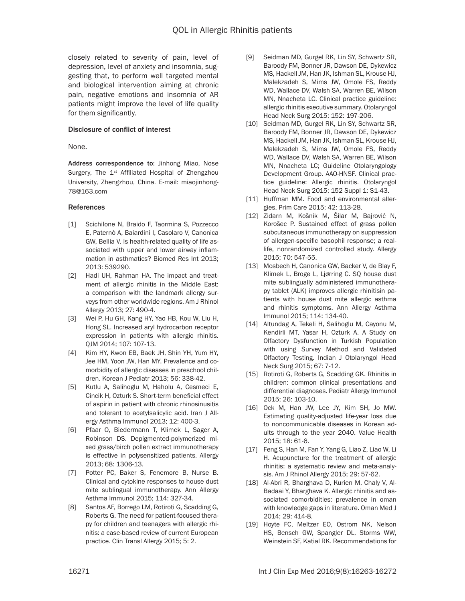closely related to severity of pain, level of depression, level of anxiety and insomnia, suggesting that, to perform well targeted mental and biological intervention aiming at chronic pain, negative emotions and insomnia of AR patients might improve the level of life quality for them significantly.

# Disclosure of conflict of interest

#### None.

Address correspondence to: Jinhong Miao, Nose Surgery, The  $1<sup>st</sup>$  Affiliated Hospital of Zhengzhou University, Zhengzhou, China. E-mail: [miaojinhong-](mailto:miaojinhong78@163.com)[78@163.com](mailto:miaojinhong78@163.com)

## References

- [1] Scichilone N, Braido F, Taormina S, Pozzecco E, Paternò A, Baiardini I, Casolaro V, Canonica GW, Bellia V. Is health-related quality of life associated with upper and lower airway inflammation in asthmatics? Biomed Res Int 2013; 2013: 539290.
- [2] Hadi UH, Rahman HA. The impact and treatment of allergic rhinitis in the Middle East: a comparison with the landmark allergy surveys from other worldwide regions. Am J Rhinol Allergy 2013; 27: 490-4.
- [3] Wei P, Hu GH, Kang HY, Yao HB, Kou W, Liu H, Hong SL. Increased aryl hydrocarbon receptor expression in patients with allergic rhinitis. QJM 2014; 107: 107-13.
- [4] Kim HY, Kwon EB, Baek JH, Shin YH, Yum HY, Jee HM, Yoon JW, Han MY. Prevalence and comorbidity of allergic diseases in preschool children. Korean J Pediatr 2013; 56: 338-42.
- [5] Kutlu A, Salihoglu M, Haholu A, Cesmeci E, Cincik H, Ozturk S. Short-term beneficial effect of aspirin in patient with chronic rhinosinusitis and tolerant to acetylsalicylic acid. Iran J Allergy Asthma Immunol 2013; 12: 400-3.
- [6] Pfaar O, Biedermann T, Klimek L, Sager A, Robinson DS. Depigmented-polymerized mixed grass/birch pollen extract immunotherapy is effective in polysensitized patients. Allergy 2013; 68: 1306-13.
- [7] Potter PC, Baker S, Fenemore B, Nurse B. Clinical and cytokine responses to house dust mite sublingual immunotherapy. Ann Allergy Asthma Immunol 2015; 114: 327-34.
- [8] Santos AF, Borrego LM, Rotiroti G, Scadding G, Roberts G. The need for patient-focused therapy for children and teenagers with allergic rhinitis: a case-based review of current European practice. Clin Transl Allergy 2015; 5: 2.
- [9] Seidman MD, Gurgel RK, Lin SY, Schwartz SR, Baroody FM, Bonner JR, Dawson DE, Dykewicz MS, Hackell JM, Han JK, Ishman SL, Krouse HJ, Malekzadeh S, Mims JW, Omole FS, Reddy WD, Wallace DV, Walsh SA, Warren BE, Wilson MN, Nnacheta LC. Clinical practice guideline: allergic rhinitis executive summary. Otolaryngol Head Neck Surg 2015; 152: 197-206.
- [10] Seidman MD, Gurgel RK, Lin SY, Schwartz SR, Baroody FM, Bonner JR, Dawson DE, Dykewicz MS, Hackell JM, Han JK, Ishman SL, Krouse HJ, Malekzadeh S, Mims JW, Omole FS, Reddy WD, Wallace DV, Walsh SA, Warren BE, Wilson MN, Nnacheta LC; Guideline Otolaryngology Development Group. AAO-HNSF. Clinical practice guideline: Allergic rhinitis. Otolaryngol Head Neck Surg 2015; 152 Suppl 1: S1-43.
- [11] Huffman MM. Food and environmental allergies. Prim Care 2015; 42: 113-28.
- [12] Zidarn M, Košnik M, Šilar M, Bajrović N, Korošec P. Sustained effect of grass pollen subcutaneous immunotherapy on suppression of allergen-specific basophil response; a reallife, nonrandomized controlled study. Allergy 2015; 70: 547-55.
- [13] Mosbech H, Canonica GW, Backer V, de Blay F, Klimek L, Broge L, Ljørring C. SQ house dust mite sublingually administered immunotherapy tablet (ALK) improves allergic rhinitisin patients with house dust mite allergic asthma and rhinitis symptoms. Ann Allergy Asthma Immunol 2015; 114: 134-40.
- [14] Altundag A, Tekeli H, Salihoglu M, Cayonu M, Kendirli MT, Yasar H, Ozturk A. A Study on Olfactory Dysfunction in Turkish Population with using Survey Method and Validated Olfactory Testing. Indian J Otolaryngol Head Neck Surg 2015; 67: 7-12.
- [15] Rotiroti G, Roberts G, Scadding GK. Rhinitis in children: common clinical presentations and differential diagnoses. Pediatr Allergy Immunol 2015; 26: 103-10.
- [16] Ock M, Han JW, Lee JY, Kim SH, Jo MW. Estimating quality-adjusted life-year loss due to noncommunicable diseases in Korean adults through to the year 2040. Value Health 2015; 18: 61-6.
- [17] Feng S, Han M, Fan Y, Yang G, Liao Z, Liao W, Li H. Acupuncture for the treatment of allergic rhinitis: a systematic review and meta-analysis. Am J Rhinol Allergy 2015; 29: 57-62.
- [18] Al-Abri R, Bharghava D, Kurien M, Chaly V, Al-Badaai Y, Bharghava K. Allergic rhinitis and associated comorbidities: prevalence in oman with knowledge gaps in literature. Oman Med J 2014; 29: 414-8.
- [19] Hoyte FC, Meltzer EO, Ostrom NK, Nelson HS, Bensch GW, Spangler DL, Storms WW, Weinstein SF, Katial RK. Recommendations for